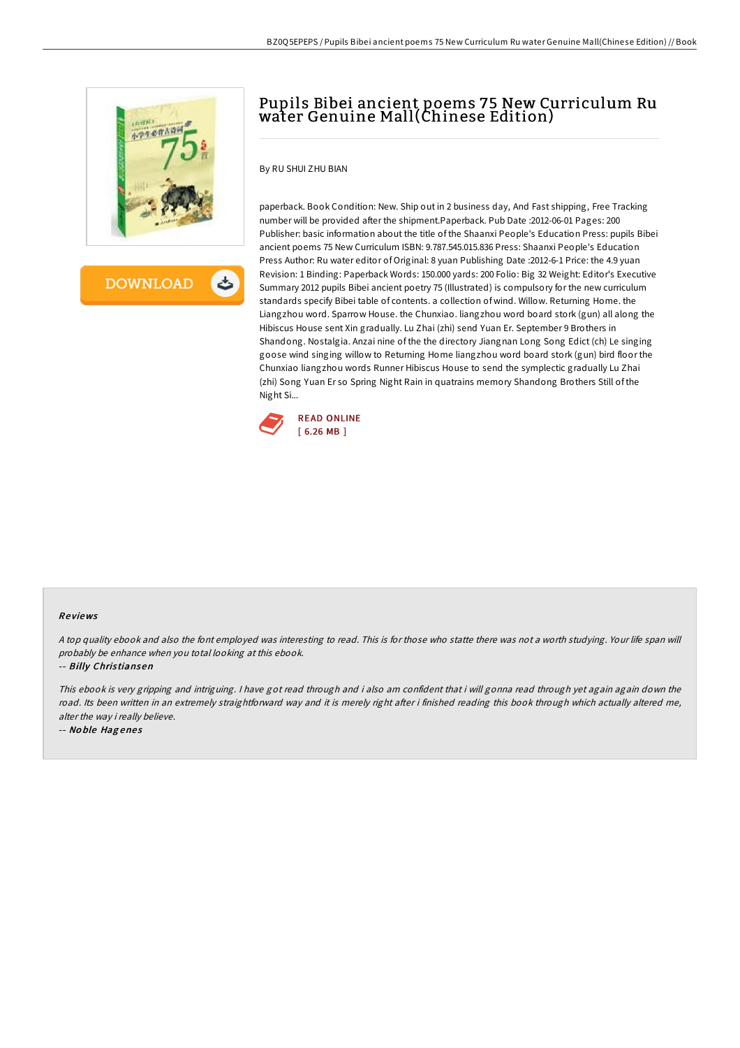

**DOWNLOAD** 

خطے

# Pupils Bibei ancient poems 75 New Curriculum Ru water Genuine Mall(Chinese Edition)

By RU SHUI ZHU BIAN

paperback. Book Condition: New. Ship out in 2 business day, And Fast shipping, Free Tracking number will be provided after the shipment.Paperback. Pub Date :2012-06-01 Pages: 200 Publisher: basic information about the title of the Shaanxi People's Education Press: pupils Bibei ancient poems 75 New Curriculum ISBN: 9.787.545.015.836 Press: Shaanxi People's Education Press Author: Ru water editor of Original: 8 yuan Publishing Date :2012-6-1 Price: the 4.9 yuan Revision: 1 Binding: Paperback Words: 150.000 yards: 200 Folio: Big 32 Weight: Editor's Executive Summary 2012 pupils Bibei ancient poetry 75 (Illustrated) is compulsory for the new curriculum standards specify Bibei table of contents. a collection of wind. Willow. Returning Home. the Liangzhou word. Sparrow House. the Chunxiao. liangzhou word board stork (gun) all along the Hibiscus House sent Xin gradually. Lu Zhai (zhi) send Yuan Er. September 9 Brothers in Shandong. Nostalgia. Anzai nine of the the directory Jiangnan Long Song Edict (ch) Le singing goose wind singing willow to Returning Home liangzhou word board stork (gun) bird floor the Chunxiao liangzhou words Runner Hibiscus House to send the symplectic gradually Lu Zhai (zhi) Song Yuan Er so Spring Night Rain in quatrains memory Shandong Brothers Still of the Night Si...



#### Re views

<sup>A</sup> top quality ebook and also the font employed was interesting to read. This is for those who statte there was not <sup>a</sup> worth studying. Your life span will probably be enhance when you total looking at this ebook.

-- Billy Chris tiansen

This ebook is very gripping and intriguing. <sup>I</sup> have got read through and i also am confident that i will gonna read through yet again again down the road. Its been written in an extremely straightforward way and it is merely right after i finished reading this book through which actually altered me, alter the way i really believe.

-- No ble Hag ene <sup>s</sup>